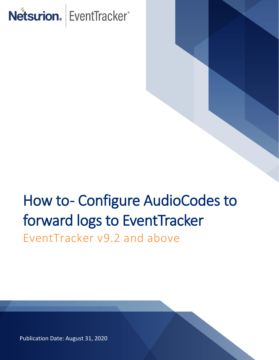# Netsurion. EventTracker®

# How to- Configure AudioCodes to forward logs to EventTracker EventTracker v9.2 and above

Publication Date: August 31, 2020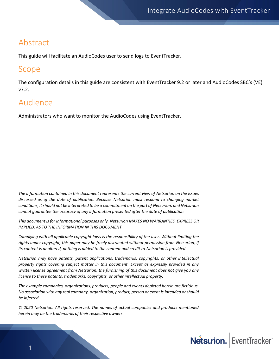## Abstract

This guide will facilitate an AudioCodes user to send logs to EventTracker.

### Scope

The configuration details in this guide are consistent with EventTracker 9.2 or later and AudioCodes SBC's (VE) v7.2.

## Audience

Administrators who want to monitor the AudioCodes using EventTracker.

*The information contained in this document represents the current view of Netsurion on the issues discussed as of the date of publication. Because Netsurion must respond to changing market conditions, it should not be interpreted to be a commitment on the part of Netsurion, and Netsurion cannot guarantee the accuracy of any information presented after the date of publication.* 

*This document is for informational purposes only. Netsurion MAKES NO WARRANTIES, EXPRESS OR IMPLIED, AS TO THE INFORMATION IN THIS DOCUMENT.* 

*Complying with all applicable copyright laws is the responsibility of the user. Without limiting the rights under copyright, this paper may be freely distributed without permission from Netsurion, if its content is unaltered, nothing is added to the content and credit to Netsurion is provided.* 

*Netsurion may have patents, patent applications, trademarks, copyrights, or other intellectual property rights covering subject matter in this document. Except as expressly provided in any written license agreement from Netsurion, the furnishing of this document does not give you any license to these patents, trademarks, copyrights, or other intellectual property.* 

*The example companies, organizations, products, people and events depicted herein are fictitious. No association with any real company, organization, product, person or event is intended or should be inferred.* 

*© 2020 Netsurion. All rights reserved. The names of actual companies and products mentioned herein may be the trademarks of their respective owners.*

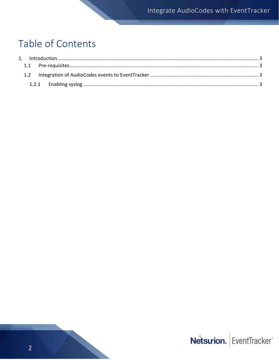# Table of Contents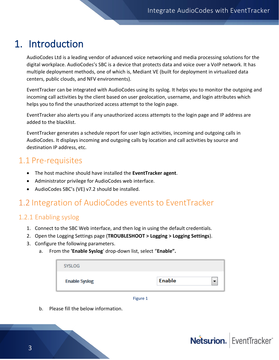# <span id="page-3-0"></span>1. Introduction

AudioCodes Ltd is a leading vendor of advanced voice networking and media processing solutions for the digital workplace. AudioCodes's SBC is a device that protects data and voice over a VoIP network. It has multiple deployment methods, one of which is, Mediant VE (built for deployment in virtualized data centers, public clouds, and NFV environments).

EventTracker can be integrated with AudioCodes using its syslog. It helps you to monitor the outgoing and incoming call activities by the client based on user geolocation, username, and login attributes which helps you to find the unauthorized access attempt to the login page.

EventTracker also alerts you if any unauthorized access attempts to the login page and IP address are added to the blacklist.

EventTracker generates a schedule report for user login activities, incoming and outgoing calls in AudioCodes. It displays incoming and outgoing calls by location and call activities by source and destination IP address, etc.

### <span id="page-3-1"></span>1.1 Pre-requisites

- The host machine should have installed the **EventTracker agent**.
- Administrator privilege for AudioCodes web interface.
- AudioCodes SBC's (VE) v7.2 should be installed.

# <span id="page-3-2"></span>1.2 Integration of AudioCodes events to EventTracker

#### <span id="page-3-3"></span>1.2.1 Enabling syslog

- 1. Connect to the SBC Web interface, and then log in using the default credentials.
- 2. Open the Logging Settings page (**TROUBLESHOOT > Logging > Logging Settings**).
- 3. Configure the following parameters.
	- a. From the **'Enable Syslog**' drop-down list, select "**Enable".**

| <b>SYSLOG</b>        |               |  |
|----------------------|---------------|--|
| <b>Enable Syslog</b> | <b>Enable</b> |  |

Figure 1

b. Please fill the below information.